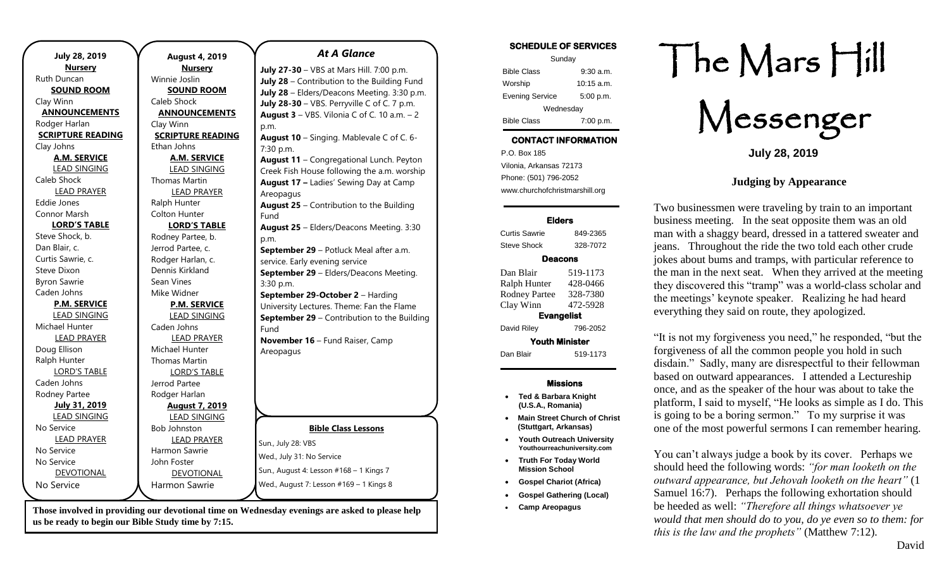| <b>July 28, 2019</b>     | <b>August 4, 2019</b>    | <b>At A Glance</b>                                 |
|--------------------------|--------------------------|----------------------------------------------------|
| <b>Nursery</b>           | <b>Nursery</b>           | July 27-30 - VBS at Mars Hill. 7:00 p.m.           |
| Ruth Duncan              | Winnie Joslin            | July 28 - Contribution to the Building Fund        |
| <b>SOUND ROOM</b>        | <b>SOUND ROOM</b>        | July 28 - Elders/Deacons Meeting. 3:30 p.m.        |
| Clay Winn                | Caleb Shock              | July 28-30 - VBS. Perryville C of C. 7 p.m.        |
| <b>ANNOUNCEMENTS</b>     | <b>ANNOUNCEMENTS</b>     | August $3 - VBS$ . Vilonia C of C. 10 a.m. $-2$    |
| Rodger Harlan            | Clay Winn                | p.m.                                               |
| <b>SCRIPTURE READING</b> | <b>SCRIPTURE READING</b> | August 10 - Singing. Mablevale C of C. 6-          |
| Clay Johns               | Ethan Johns              | 7:30 p.m.                                          |
| <b>A.M. SERVICE</b>      | <b>A.M. SERVICE</b>      | August 11 - Congregational Lunch. Peyton           |
| <b>LEAD SINGING</b>      | <b>LEAD SINGING</b>      | Creek Fish House following the a.m. worship        |
| Caleb Shock              | Thomas Martin            | August 17 - Ladies' Sewing Day at Camp             |
| LEAD PRAYER              | <b>LEAD PRAYER</b>       | Areopagus                                          |
| Eddie Jones              | Ralph Hunter             | <b>August 25</b> - Contribution to the Building    |
| Connor Marsh             | <b>Colton Hunter</b>     | Fund                                               |
| <b>LORD'S TABLE</b>      | <b>LORD'S TABLE</b>      | August 25 - Elders/Deacons Meeting. 3:30           |
| Steve Shock, b.          | Rodney Partee, b.        | p.m.                                               |
| Dan Blair, c.            | Jerrod Partee, c.        | September 29 - Potluck Meal after a.m.             |
| Curtis Sawrie, c.        | Rodger Harlan, c.        | service. Early evening service                     |
| Steve Dixon              | Dennis Kirkland          | September 29 - Elders/Deacons Meeting.             |
| <b>Byron Sawrie</b>      | Sean Vines               | 3:30 p.m.                                          |
| Caden Johns              | Mike Widner              | September 29-October 2 - Harding                   |
| <b>P.M. SERVICE</b>      | <b>P.M. SERVICE</b>      | University Lectures. Theme: Fan the Flame          |
| <b>LEAD SINGING</b>      | <b>LEAD SINGING</b>      | <b>September 29</b> - Contribution to the Building |
| Michael Hunter           | Caden Johns              | Fund                                               |
| <b>LEAD PRAYER</b>       | <b>LEAD PRAYER</b>       | November 16 - Fund Raiser, Camp                    |
| Doug Ellison             | Michael Hunter           | Areopagus                                          |
| Ralph Hunter             | <b>Thomas Martin</b>     |                                                    |
| <b>LORD'S TABLE</b>      | <b>LORD'S TABLE</b>      |                                                    |
| Caden Johns              | Jerrod Partee            |                                                    |
| Rodney Partee            | Rodger Harlan            |                                                    |
| <b>July 31, 2019</b>     | <b>August 7, 2019</b>    |                                                    |
| <b>LEAD SINGING</b>      | <b>LEAD SINGING</b>      |                                                    |
| No Service               | Bob Johnston             | <b>Bible Class Lessons</b>                         |
| <b>LEAD PRAYER</b>       | <b>LEAD PRAYER</b>       | Sun., July 28: VBS                                 |
| No Service               | Harmon Sawrie            | Wed., July 31: No Service                          |
| No Service               | John Foster              |                                                    |
| <b>DEVOTIONAL</b>        | DEVOTIONAL               | Sun., August 4: Lesson #168 - 1 Kings 7            |
| No Service               | <b>Harmon Sawrie</b>     | Wed., August 7: Lesson #169 - 1 Kings 8            |
|                          |                          |                                                    |

**Those involved in providing our devotional time on Wednesday evenings are asked to please help us be ready to begin our Bible Study time by 7:15.** 

### **SCHEDULE OF SERVICES**

| Sunday                 |              |  |  |
|------------------------|--------------|--|--|
| <b>Bible Class</b>     | $9:30$ a.m.  |  |  |
| Worship                | $10:15$ a.m. |  |  |
| <b>Evening Service</b> | 5:00 p.m.    |  |  |
| Wednesday              |              |  |  |
| <b>Bible Class</b>     | 7:00 p.m.    |  |  |

# **CONTACT INFORMATION**

. .o. Box 166<br>Vilonia, Arkansas 72173 P.O. Box 185 Phone: (501) 796-2052 www.churchofchristmarshill.org

#### **Elders**

Curtis Sawrie 849-2365 Steve Shock 328-7072 **Deacons**  Dan Blair 519-1173 Ralph Hunter 428-0466 Rodney Partee 328-7380 Clay Winn 472-5928 **Evangelist**  David Riley 796-2052 **Youth Minister**  Dan Blair 519-1173

## **Missions**

- **Ted & Barbara Knight (U.S.A., Romania)**
- **Main Street Church of Christ (Stuttgart, Arkansas)**
- **Youth Outreach University Youthourreachuniversity.com**
- **Truth For Today World Mission School**
- **Gospel Chariot (Africa)**
- **Gospel Gathering (Local)**
- **Camp Areopagus**

# The Mars Hill

Messenger

**July 28, 2019**

## **Judging by Appearance**

Two businessmen were traveling by train to an important business meeting. In the seat opposite them was an old man with a shaggy beard, dressed in a tattered sweater and jeans. Throughout the ride the two told each other crude jokes about bums and tramps, with particular reference to the man in the next seat. When they arrived at the meeting they discovered this "tramp" was a world-class scholar and the meetings' keynote speaker. Realizing he had heard everything they said on route, they apologized.

"It is not my forgiveness you need," he responded, "but the forgiveness of all the common people you hold in such disdain." Sadly, many are disrespectful to their fellowman based on outward appearances. I attended a Lectureship once, and as the speaker of the hour was about to take the platform, I said to myself, "He looks as simple as I do. This is going to be a boring sermon." To my surprise it was one of the most powerful sermons I can remember hearing.

You can't always judge a book by its cover. Perhaps we should heed the following words: *"for man looketh on the outward appearance, but Jehovah looketh on the heart"* (1 Samuel 16:7). Perhaps the following exhortation should be heeded as well: *"Therefore all things whatsoever ye would that men should do to you, do ye even so to them: for this is the law and the prophets"* (Matthew 7:12).